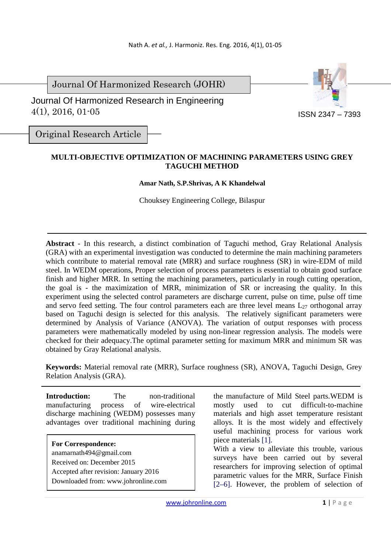Journal Of Harmonized Research (JOHR)

 Journal Of Harmonized Research in Engineering 4(1), 2016, 01-05



Original Research Article

## **MULTI-OBJECTIVE OPTIMIZATION OF MACHINING PARAMETERS USING GREY TAGUCHI METHOD**

## **Amar Nath, S.P.Shrivas, A K Khandelwal**

Chouksey Engineering College, Bilaspur

**Abstract** - In this research, a distinct combination of Taguchi method, Gray Relational Analysis (GRA) with an experimental investigation was conducted to determine the main machining parameters which contribute to material removal rate (MRR) and surface roughness (SR) in wire-EDM of mild steel. In WEDM operations, Proper selection of process parameters is essential to obtain good surface finish and higher MRR. In setting the machining parameters, particularly in rough cutting operation, the goal is - the maximization of MRR, minimization of SR or increasing the quality. In this experiment using the selected control parameters are discharge current, pulse on time, pulse off time and servo feed setting. The four control parameters each are three level means  $L_{27}$  orthogonal array based on Taguchi design is selected for this analysis. The relatively significant parameters were determined by Analysis of Variance (ANOVA). The variation of output responses with process parameters were mathematically modeled by using non-linear regression analysis. The models were checked for their adequacy.The optimal parameter setting for maximum MRR and minimum SR was obtained by Gray Relational analysis.

**Keywords:** Material removal rate (MRR), Surface roughness (SR), ANOVA, Taguchi Design, Grey Relation Analysis (GRA).

**Introduction:** The non-traditional manufacturing process of wire-electrical discharge machining (WEDM) possesses many advantages over traditional machining during

**For Correspondence:**  anamarnath494@gmail.com Received on: December 2015 Accepted after revision: January 2016 Downloaded from: www.johronline.com the manufacture of Mild Steel parts.WEDM is mostly used to cut difficult-to-machine materials and high asset temperature resistant alloys. It is the most widely and effectively useful machining process for various work piece materials [1].

With a view to alleviate this trouble, various surveys have been carried out by several researchers for improving selection of optimal parametric values for the MRR, Surface Finish [2–6]. However, the problem of selection of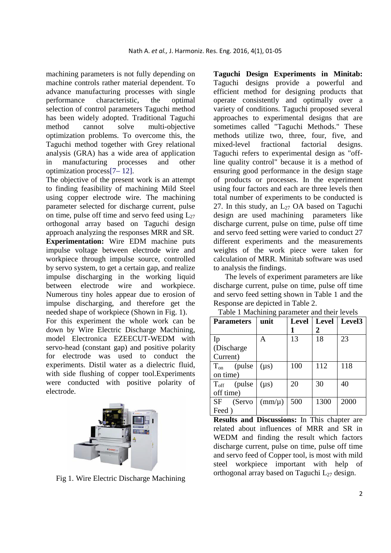machining parameters is not fully depending on machine controls rather material dependent. To advance manufacturing processes with single performance characteristic, the optimal selection of control parameters Taguchi method has been widely adopted. Traditional Taguchi method cannot solve multi-objective optimization problems. To overcome this, the Taguchi method together with Grey relational analysis (GRA) has a wide area of application in manufacturing processes and other optimization process[7– 12].

The objective of the present work is an attempt to finding feasibility of machining Mild Steel using copper electrode wire. The machining parameter selected for discharge current, pulse on time, pulse off time and servo feed using  $L_{27}$ orthogonal array based on Taguchi design approach analyzing the responses MRR and SR. **Experimentation:** Wire EDM machine puts impulse voltage between electrode wire and workpiece through impulse source, controlled by servo system, to get a certain gap, and realize impulse discharging in the working liquid between electrode wire and workpiece. Numerous tiny holes appear due to erosion of impulse discharging, and therefore get the needed shape of workpiece (Shown in Fig. 1). For this experiment the whole work can be down by Wire Electric Discharge Machining, model Electronica EZEECUT-WEDM with servo-head (constant gap) and positive polarity for electrode was used to conduct the experiments. Distil water as a dielectric fluid, with side flushing of copper tool.Experiments



were conducted with positive polarity of

electrode.

Fig 1. Wire Electric Discharge Machining

**Taguchi Design Experiments in Minitab:**  Taguchi designs provide a powerful and efficient method for designing products that operate consistently and optimally over a variety of conditions. Taguchi proposed several approaches to experimental designs that are sometimes called "Taguchi Methods." These methods utilize two, three, four, five, and mixed-level fractional factorial designs. Taguchi refers to experimental design as "offline quality control" because it is a method of ensuring good performance in the design stage of products or processes. In the experiment using four factors and each are three levels then total number of experiments to be conducted is 27. In this study, an  $L_{27}$  OA based on Taguchi design are used machining parameters like discharge current, pulse on time, pulse off time and servo feed setting were varied to conduct 27 different experiments and the measurements weights of the work piece were taken for calculation of MRR. Minitab software was used to analysis the findings.

The levels of experiment parameters are like discharge current, pulse on time, pulse off time and servo feed setting shown in Table 1 and the Response are depicted in Table 2.

| <b>Parameters</b>       | unit            | <b>Level</b> | Level | Level <sub>3</sub> |  |
|-------------------------|-----------------|--------------|-------|--------------------|--|
|                         |                 |              | 2     |                    |  |
| Ip                      | А               | 13           | 18    | 23                 |  |
| (Discharge)             |                 |              |       |                    |  |
| Current)                |                 |              |       |                    |  |
| $T_{on}$<br>(pulse      | $(\mu s)$       | 100          | 112   | 118                |  |
| on time)                |                 |              |       |                    |  |
| $T_{\text{off}}$ (pulse | $(\mu s)$       | 20           | 30    | 40                 |  |
| off time)               |                 |              |       |                    |  |
| SF<br>(Servo            | $\text{(mm/u)}$ | 500          | 1300  | 2000               |  |
| Feed)                   |                 |              |       |                    |  |

Table 1 Machining parameter and their levels

**Results and Discussions:** In This chapter are related about influences of MRR and SR in WEDM and finding the result which factors discharge current, pulse on time, pulse off time and servo feed of Copper tool, is most with mild steel workpiece important with help of orthogonal array based on Taguchi  $L_{27}$  design.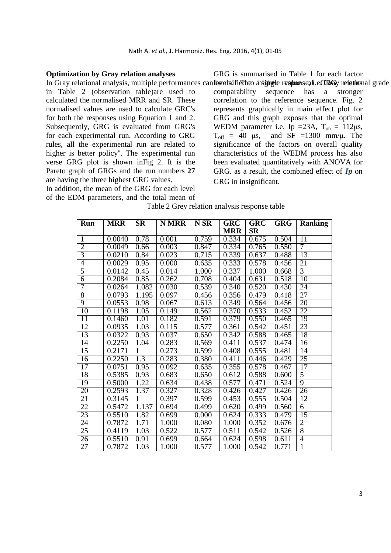## **Optimization by Gray relation analyses**

in Table 2 (observation table)are used to calculated the normalised MRR and SR. These normalised values are used to calculate GRC's for both the responses using Equation 1 and 2. Subsequently, GRG is evaluated from GRG's for each experimental run. According to GRG rules, all the experimental run are related to higher is better policy''. The experimental run verse GRG plot is shown inFig 2. It is the Pareto graph of GRGs and the run numbers **27** are having the three highest GRG values.

In addition, the mean of the GRG for each level of the EDM parameters, and the total mean of

In Gray relational analysis, multiple performances canlbrealnification ansighigule resuments of early relational grade GRG is summarised in Table 1 for each factor comparability sequence has a stronger correlation to the reference sequence. Fig. 2 represents graphically in main effect plot for GRG and this graph exposes that the optimal WEDM parameter i.e. Ip = 23A,  $T_{on} = 112 \mu s$ ,  $T_{off}$  = 40  $\mu$ s, and SF =1300 mm/ $\mu$ . The significance of the factors on overall quality characteristics of the WEDM process has also been evaluated quantitatively with ANOVA for GRG. as a result, the combined effect of  $\mathbf{I}p$  on GRG in insignificant.

|  | Table 2 Grey relation analysis response table |
|--|-----------------------------------------------|
|  |                                               |

| Run             | <b>MRR</b> | <b>SR</b>        | <b>N MRR</b> | N SR  | <b>GRC</b> | <b>GRC</b> | <b>GRG</b> | <b>Ranking</b>  |
|-----------------|------------|------------------|--------------|-------|------------|------------|------------|-----------------|
|                 |            |                  |              |       | <b>MRR</b> | <b>SR</b>  |            |                 |
| $\mathbf{1}$    | 0.0040     | 0.78             | 0.001        | 0.759 | 0.334      | 0.675      | 0.504      | 11              |
| $\overline{2}$  | 0.0049     | 0.66             | 0.003        | 0.847 | 0.334      | 0.765      | 0.550      | 7               |
| $\overline{3}$  | 0.0210     | 0.84             | 0.023        | 0.715 | 0.339      | 0.637      | 0.488      | 13              |
| $\overline{4}$  | 0.0029     | 0.95             | 0.000        | 0.635 | 0.333      | 0.578      | 0.456      | 21              |
| $\overline{5}$  | 0.0142     | 0.45             | 0.014        | 1.000 | 0.337      | 1.000      | 0.668      | $\overline{3}$  |
| $\overline{6}$  | 0.2084     | 0.85             | 0.262        | 0.708 | 0.404      | 0.631      | 0.518      | 10              |
| 7               | 0.0264     | 1.082            | 0.030        | 0.539 | 0.340      | 0.520      | 0.430      | 24              |
| $\overline{8}$  | 0.0793     | 1.195            | 0.097        | 0.456 | 0.356      | 0.479      | 0.418      | $\overline{27}$ |
| $\overline{9}$  | 0.0553     | 0.98             | 0.067        | 0.613 | 0.349      | 0.564      | 0.456      | 20              |
| 10              | 0.1198     | 1.05             | 0.149        | 0.562 | 0.370      | 0.533      | 0.452      | 22              |
| 11              | 0.1460     | 1.01             | 0.182        | 0.591 | 0.379      | 0.550      | 0.465      | 19              |
| 12              | 0.0935     | 1.03             | 0.115        | 0.577 | 0.361      | 0.542      | 0.451      | 23              |
| 13              | 0.0322     | 0.93             | 0.037        | 0.650 | 0.342      | 0.588      | 0.465      | 18              |
| 14              | 0.2250     | 1.04             | 0.283        | 0.569 | 0.411      | 0.537      | 0.474      | 16              |
| 15              | 0.2171     | $\mathbf{1}$     | 0.273        | 0.599 | 0.408      | 0.555      | 0.481      | 14              |
| $\overline{16}$ | 0.2250     | $\overline{1.3}$ | 0.283        | 0.380 | 0.411      | 0.446      | 0.429      | 25              |
| $\overline{17}$ | 0.0751     | 0.95             | 0.092        | 0.635 | 0.355      | 0.578      | 0.467      | $\overline{17}$ |
| 18              | 0.5385     | 0.93             | 0.683        | 0.650 | 0.612      | 0.588      | 0.600      | $\overline{5}$  |
| $\overline{19}$ | 0.5000     | 1.22             | 0.634        | 0.438 | 0.577      | 0.471      | 0.524      | $\overline{9}$  |
| 20              | 0.2593     | 1.37             | 0.327        | 0.328 | 0.426      | 0.427      | 0.426      | 26              |
| 21              | 0.3145     | 1                | 0.397        | 0.599 | 0.453      | 0.555      | 0.504      | 12              |
| $\overline{22}$ | 0.5472     | 1.137            | 0.694        | 0.499 | 0.620      | 0.499      | 0.560      | 6               |
| 23              | 0.5510     | 1.82             | 0.699        | 0.000 | 0.624      | 0.333      | 0.479      | $\overline{15}$ |
| $\overline{24}$ | 0.7872     | 1.71             | 1.000        | 0.080 | 1.000      | 0.352      | 0.676      | $\overline{2}$  |
| 25              | 0.4119     | 1.03             | 0.522        | 0.577 | 0.511      | 0.542      | 0.526      | $\overline{8}$  |
| $\overline{26}$ | 0.5510     | 0.91             | 0.699        | 0.664 | 0.624      | 0.598      | 0.611      | $\overline{4}$  |
| $\overline{27}$ | 0.7872     | 1.03             | 1.000        | 0.577 | 1.000      | 0.542      | 0.771      | $\overline{1}$  |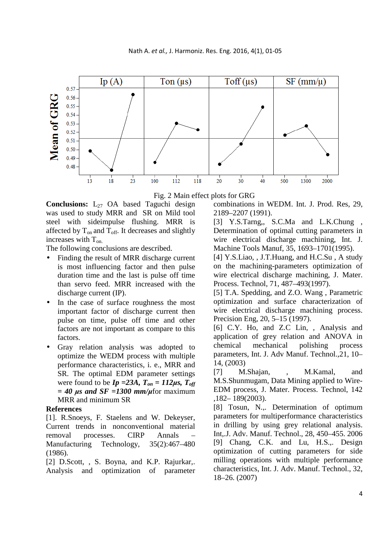



Fig. 2 Main effect plots for GRG

Conclusions: L<sub>27</sub> OA based Taguchi design was used to study MRR and SR on Mild tool steel with sideimpulse flushing. MRR is affected by  $T_{on}$  and  $T_{off}$ . It decreases and slightly increases with  $T_{on.}$ 

The following conclusions are described.

- Finding the result of MRR discharge current is most influencing factor and then pulse duration time and the last is pulse off time than servo feed. MRR increased with the discharge current (IP).
- In the case of surface roughness the most important factor of discharge current then pulse on time, pulse off time and other factors are not important as compare to this factors.
- Gray relation analysis was adopted to optimize the WEDM process with multiple performance characteristics, i. e., MRR and SR. The optimal EDM parameter settings were found to be  $I_p = 23A$ ,  $T_{on} = 112 \mu s$ ,  $T_{off}$ *= 40 µs and SF =1300 mm/µ*for maximum MRR and minimum SR

## **References**

[1]. R.Snoeys, F. Staelens and W. Dekeyser, Current trends in nonconventional material removal processes. CIRP Annals Manufacturing Technology, 35(2):467–480 (1986).

[2] D.Scott, , S. Boyna, and K.P. Rajurkar,. Analysis and optimization of parameter combinations in WEDM. Int. J. Prod. Res, 29, 2189–2207 (1991).

[3] Y.S.Tarng,, S.C.Ma and L.K.Chung , Determination of optimal cutting parameters in wire electrical discharge machining, Int. J. Machine Tools Manuf, 35, 1693–1701(1995).

[4] Y.S.Liao, , J.T.Huang, and H.C.Su, A study on the machining-parameters optimization of wire electrical discharge machining, J. Mater. Process. Technol, 71, 487–493(1997).

[5] T.A. Spedding, and Z.O. Wang , Parametric optimization and surface characterization of wire electrical discharge machining process. Precision Eng, 20, 5–15 (1997).

[6] C.Y. Ho, and Z.C Lin, , Analysis and application of grey relation and ANOVA in chemical mechanical polishing process parameters, Int. J. Adv Manuf. Technol.,21, 10– 14, (2003)

[7] M.Shajan, , M.Kamal, and M.S.Shunmugam, Data Mining applied to Wire-EDM process, J. Mater. Process. Technol, 142 ,182– 189(2003).

[8] Tosun, N.,. Determination of optimum parameters for multiperformance characteristics in drilling by using grey relational analysis. Int,.J. Adv. Manuf. Technol., 28, 450–455. 2006 [9] Chang, C.K. and Lu, H.S.,. Design optimization of cutting parameters for side milling operations with multiple performance characteristics, Int. J. Adv. Manuf. Technol., 32, 18–26. (2007)